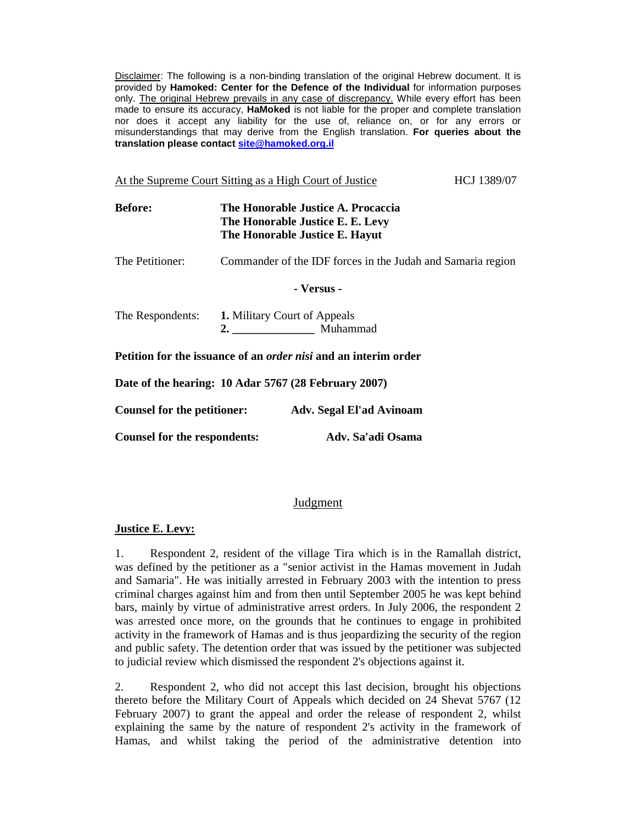Disclaimer: The following is a non-binding translation of the original Hebrew document. It is provided by **Hamoked: Center for the Defence of the Individual** for information purposes only. The original Hebrew prevails in any case of discrepancy. While every effort has been made to ensure its accuracy, **HaMoked** is not liable for the proper and complete translation nor does it accept any liability for the use of, reliance on, or for any errors or misunderstandings that may derive from the English translation. **For queries about the translation please contact site@hamoked.org.il**

| HCJ 1389/07<br>At the Supreme Court Sitting as a High Court of Justice |  |                                                                                                          |  |
|------------------------------------------------------------------------|--|----------------------------------------------------------------------------------------------------------|--|
| <b>Before:</b>                                                         |  | The Honorable Justice A. Procaccia<br>The Honorable Justice E. E. Levy<br>The Honorable Justice E. Hayut |  |
| The Petitioner:                                                        |  | Commander of the IDF forces in the Judah and Samaria region                                              |  |
| - Versus -                                                             |  |                                                                                                          |  |
| The Respondents:                                                       |  | <b>1.</b> Military Court of Appeals<br>2. Muhammad                                                       |  |
|                                                                        |  | Petition for the issuance of an <i>order nisi</i> and an interim order                                   |  |
|                                                                        |  | Date of the hearing: 10 Adar 5767 (28 February 2007)                                                     |  |
| Counsel for the petitioner:<br><b>Adv. Segal El'ad Avinoam</b>         |  |                                                                                                          |  |
| <b>Counsel for the respondents:</b>                                    |  | Adv. Sa'adi Osama                                                                                        |  |

## **Judgment**

## **Justice E. Levy:**

1. Respondent 2, resident of the village Tira which is in the Ramallah district, was defined by the petitioner as a "senior activist in the Hamas movement in Judah and Samaria". He was initially arrested in February 2003 with the intention to press criminal charges against him and from then until September 2005 he was kept behind bars, mainly by virtue of administrative arrest orders. In July 2006, the respondent 2 was arrested once more, on the grounds that he continues to engage in prohibited activity in the framework of Hamas and is thus jeopardizing the security of the region and public safety. The detention order that was issued by the petitioner was subjected to judicial review which dismissed the respondent 2's objections against it.

2. Respondent 2, who did not accept this last decision, brought his objections thereto before the Military Court of Appeals which decided on 24 Shevat 5767 (12 February 2007) to grant the appeal and order the release of respondent 2, whilst explaining the same by the nature of respondent 2's activity in the framework of Hamas, and whilst taking the period of the administrative detention into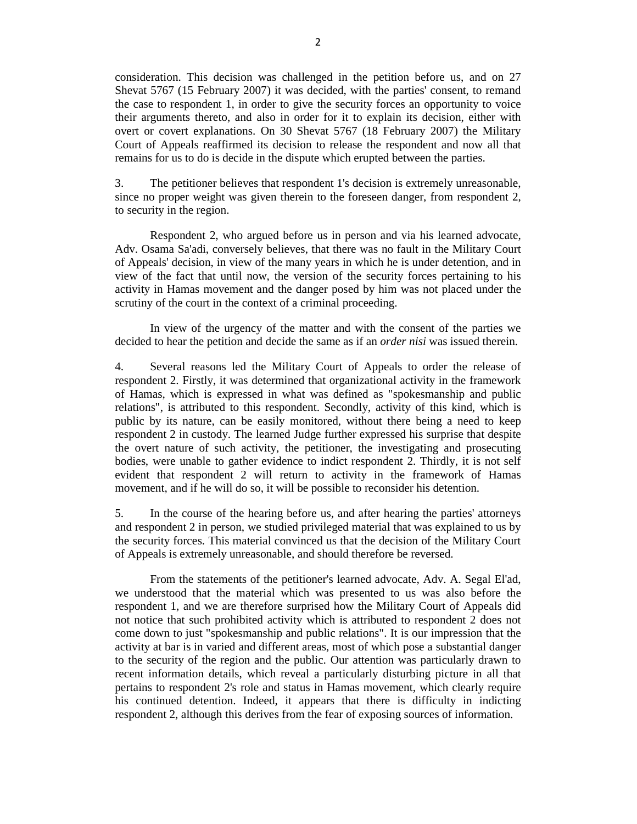consideration. This decision was challenged in the petition before us, and on 27 Shevat 5767 (15 February 2007) it was decided, with the parties' consent, to remand the case to respondent 1, in order to give the security forces an opportunity to voice their arguments thereto, and also in order for it to explain its decision, either with overt or covert explanations. On 30 Shevat 5767 (18 February 2007) the Military Court of Appeals reaffirmed its decision to release the respondent and now all that remains for us to do is decide in the dispute which erupted between the parties.

3. The petitioner believes that respondent 1's decision is extremely unreasonable, since no proper weight was given therein to the foreseen danger, from respondent 2, to security in the region.

Respondent 2, who argued before us in person and via his learned advocate, Adv. Osama Sa'adi, conversely believes, that there was no fault in the Military Court of Appeals' decision, in view of the many years in which he is under detention, and in view of the fact that until now, the version of the security forces pertaining to his activity in Hamas movement and the danger posed by him was not placed under the scrutiny of the court in the context of a criminal proceeding.

In view of the urgency of the matter and with the consent of the parties we decided to hear the petition and decide the same as if an *order nisi* was issued therein.

4. Several reasons led the Military Court of Appeals to order the release of respondent 2. Firstly, it was determined that organizational activity in the framework of Hamas, which is expressed in what was defined as "spokesmanship and public relations", is attributed to this respondent. Secondly, activity of this kind, which is public by its nature, can be easily monitored, without there being a need to keep respondent 2 in custody. The learned Judge further expressed his surprise that despite the overt nature of such activity, the petitioner, the investigating and prosecuting bodies, were unable to gather evidence to indict respondent 2. Thirdly, it is not self evident that respondent 2 will return to activity in the framework of Hamas movement, and if he will do so, it will be possible to reconsider his detention.

5. In the course of the hearing before us, and after hearing the parties' attorneys and respondent 2 in person, we studied privileged material that was explained to us by the security forces. This material convinced us that the decision of the Military Court of Appeals is extremely unreasonable, and should therefore be reversed.

From the statements of the petitioner's learned advocate, Adv. A. Segal El'ad, we understood that the material which was presented to us was also before the respondent 1, and we are therefore surprised how the Military Court of Appeals did not notice that such prohibited activity which is attributed to respondent 2 does not come down to just "spokesmanship and public relations". It is our impression that the activity at bar is in varied and different areas, most of which pose a substantial danger to the security of the region and the public. Our attention was particularly drawn to recent information details, which reveal a particularly disturbing picture in all that pertains to respondent 2's role and status in Hamas movement, which clearly require his continued detention. Indeed, it appears that there is difficulty in indicting respondent 2, although this derives from the fear of exposing sources of information.